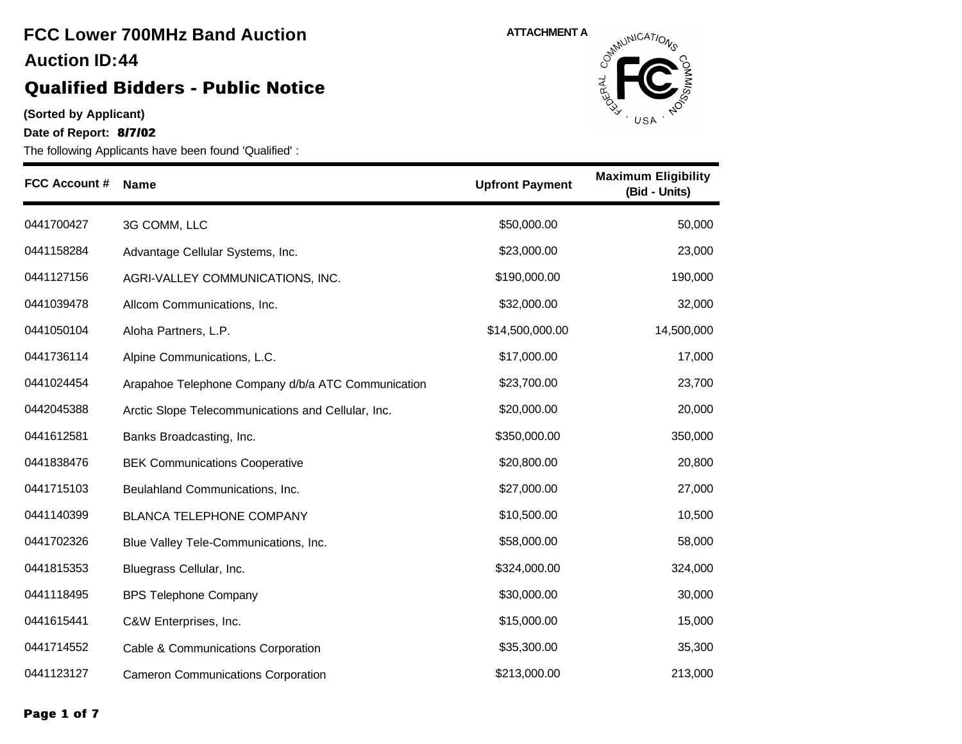# **FCC Lower 700MHz Band Auction 44 Auction ID:**

### **Qualified Bidders - Public Notice**

**(Sorted by Applicant)**

**Date of Report: 8/7/02**



| <b>FCC Account #</b> | Name                                               | <b>Upfront Payment</b> | <b>Maximum Eligibility</b><br>(Bid - Units) |
|----------------------|----------------------------------------------------|------------------------|---------------------------------------------|
| 0441700427           | 3G COMM, LLC                                       | \$50,000.00            | 50,000                                      |
| 0441158284           | Advantage Cellular Systems, Inc.                   | \$23,000.00            | 23,000                                      |
| 0441127156           | AGRI-VALLEY COMMUNICATIONS, INC.                   | \$190,000.00           | 190,000                                     |
| 0441039478           | Allcom Communications, Inc.                        | \$32,000.00            | 32,000                                      |
| 0441050104           | Aloha Partners, L.P.                               | \$14,500,000.00        | 14,500,000                                  |
| 0441736114           | Alpine Communications, L.C.                        | \$17,000.00            | 17,000                                      |
| 0441024454           | Arapahoe Telephone Company d/b/a ATC Communication | \$23,700.00            | 23,700                                      |
| 0442045388           | Arctic Slope Telecommunications and Cellular, Inc. | \$20,000.00            | 20,000                                      |
| 0441612581           | Banks Broadcasting, Inc.                           | \$350,000.00           | 350,000                                     |
| 0441838476           | <b>BEK Communications Cooperative</b>              | \$20,800.00            | 20,800                                      |
| 0441715103           | Beulahland Communications, Inc.                    | \$27,000.00            | 27,000                                      |
| 0441140399           | <b>BLANCA TELEPHONE COMPANY</b>                    | \$10,500.00            | 10,500                                      |
| 0441702326           | Blue Valley Tele-Communications, Inc.              | \$58,000.00            | 58,000                                      |
| 0441815353           | Bluegrass Cellular, Inc.                           | \$324,000.00           | 324,000                                     |
| 0441118495           | <b>BPS Telephone Company</b>                       | \$30,000.00            | 30,000                                      |
| 0441615441           | C&W Enterprises, Inc.                              | \$15,000.00            | 15,000                                      |
| 0441714552           | Cable & Communications Corporation                 | \$35,300.00            | 35,300                                      |
| 0441123127           | <b>Cameron Communications Corporation</b>          | \$213,000.00           | 213,000                                     |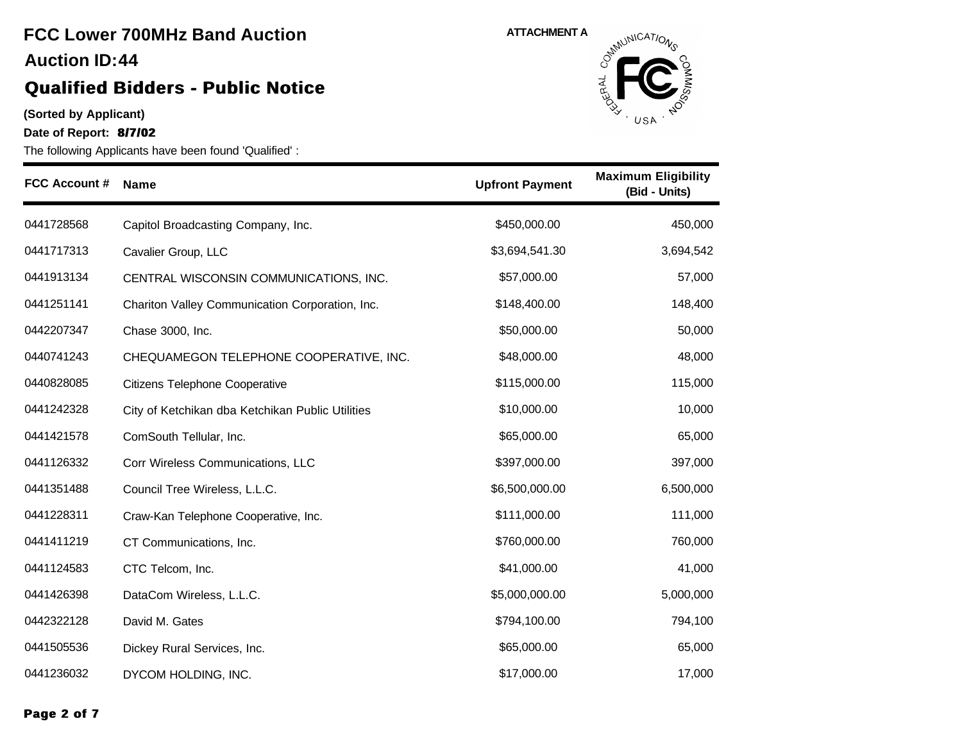#### **(Sorted by Applicant)**

**Date of Report: 8/7/02**



| <b>FCC Account #</b> | <b>Name</b>                                      | <b>Upfront Payment</b> | <b>Maximum Eligibility</b><br>(Bid - Units) |
|----------------------|--------------------------------------------------|------------------------|---------------------------------------------|
| 0441728568           | Capitol Broadcasting Company, Inc.               | \$450,000.00           | 450,000                                     |
| 0441717313           | Cavalier Group, LLC                              | \$3,694,541.30         | 3,694,542                                   |
| 0441913134           | CENTRAL WISCONSIN COMMUNICATIONS, INC.           | \$57,000.00            | 57,000                                      |
| 0441251141           | Chariton Valley Communication Corporation, Inc.  | \$148,400.00           | 148,400                                     |
| 0442207347           | Chase 3000, Inc.                                 | \$50,000.00            | 50,000                                      |
| 0440741243           | CHEQUAMEGON TELEPHONE COOPERATIVE, INC.          | \$48,000.00            | 48,000                                      |
| 0440828085           | Citizens Telephone Cooperative                   | \$115,000.00           | 115,000                                     |
| 0441242328           | City of Ketchikan dba Ketchikan Public Utilities | \$10,000.00            | 10,000                                      |
| 0441421578           | ComSouth Tellular, Inc.                          | \$65,000.00            | 65,000                                      |
| 0441126332           | Corr Wireless Communications, LLC                | \$397,000.00           | 397,000                                     |
| 0441351488           | Council Tree Wireless, L.L.C.                    | \$6,500,000.00         | 6,500,000                                   |
| 0441228311           | Craw-Kan Telephone Cooperative, Inc.             | \$111,000.00           | 111,000                                     |
| 0441411219           | CT Communications, Inc.                          | \$760,000.00           | 760,000                                     |
| 0441124583           | CTC Telcom, Inc.                                 | \$41,000.00            | 41,000                                      |
| 0441426398           | DataCom Wireless, L.L.C.                         | \$5,000,000.00         | 5,000,000                                   |
| 0442322128           | David M. Gates                                   | \$794,100.00           | 794,100                                     |
| 0441505536           | Dickey Rural Services, Inc.                      | \$65,000.00            | 65,000                                      |
| 0441236032           | DYCOM HOLDING, INC.                              | \$17,000.00            | 17,000                                      |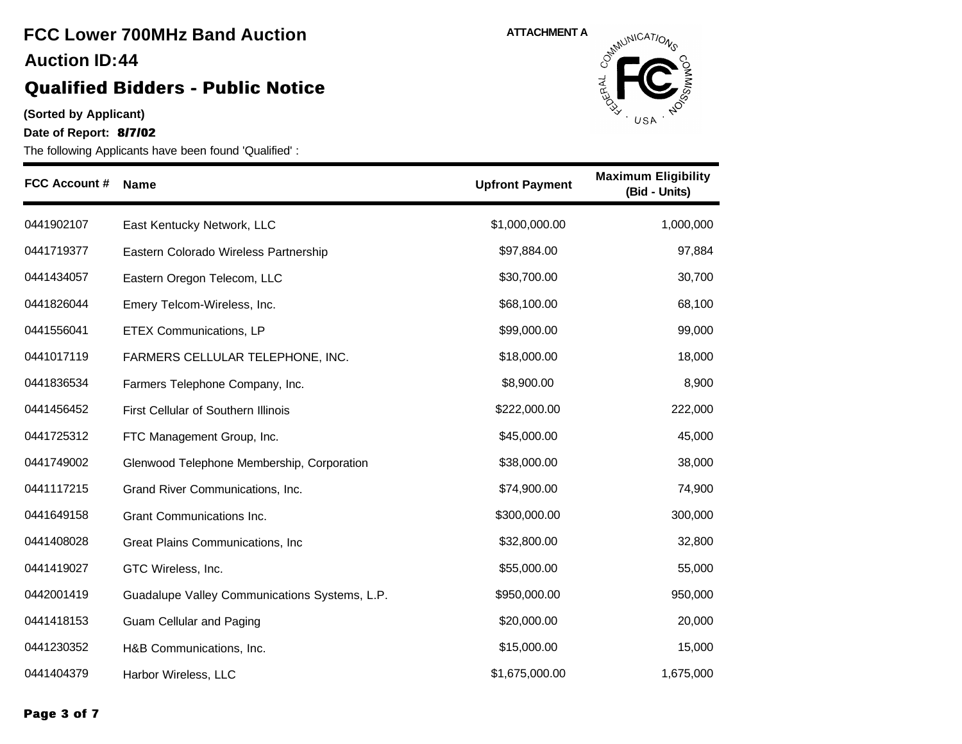# **FCC Lower 700MHz Band Auction 44 Auction ID:**

### **Qualified Bidders - Public Notice**

**(Sorted by Applicant)**

**Date of Report: 8/7/02**



| <b>FCC Account #</b> | <b>Name</b>                                   | <b>Upfront Payment</b> | <b>Maximum Eligibility</b><br>(Bid - Units) |
|----------------------|-----------------------------------------------|------------------------|---------------------------------------------|
| 0441902107           | East Kentucky Network, LLC                    | \$1,000,000.00         | 1,000,000                                   |
| 0441719377           | Eastern Colorado Wireless Partnership         | \$97,884.00            | 97,884                                      |
| 0441434057           | Eastern Oregon Telecom, LLC                   | \$30,700.00            | 30,700                                      |
| 0441826044           | Emery Telcom-Wireless, Inc.                   | \$68,100.00            | 68,100                                      |
| 0441556041           | <b>ETEX Communications, LP</b>                | \$99,000.00            | 99,000                                      |
| 0441017119           | FARMERS CELLULAR TELEPHONE, INC.              | \$18,000.00            | 18,000                                      |
| 0441836534           | Farmers Telephone Company, Inc.               | \$8,900.00             | 8,900                                       |
| 0441456452           | First Cellular of Southern Illinois           | \$222,000.00           | 222,000                                     |
| 0441725312           | FTC Management Group, Inc.                    | \$45,000.00            | 45,000                                      |
| 0441749002           | Glenwood Telephone Membership, Corporation    | \$38,000.00            | 38,000                                      |
| 0441117215           | Grand River Communications, Inc.              | \$74,900.00            | 74,900                                      |
| 0441649158           | Grant Communications Inc.                     | \$300,000.00           | 300,000                                     |
| 0441408028           | Great Plains Communications, Inc.             | \$32,800.00            | 32,800                                      |
| 0441419027           | GTC Wireless, Inc.                            | \$55,000.00            | 55,000                                      |
| 0442001419           | Guadalupe Valley Communications Systems, L.P. | \$950,000.00           | 950,000                                     |
| 0441418153           | Guam Cellular and Paging                      | \$20,000.00            | 20,000                                      |
| 0441230352           | H&B Communications, Inc.                      | \$15,000.00            | 15,000                                      |
| 0441404379           | Harbor Wireless, LLC                          | \$1,675,000.00         | 1,675,000                                   |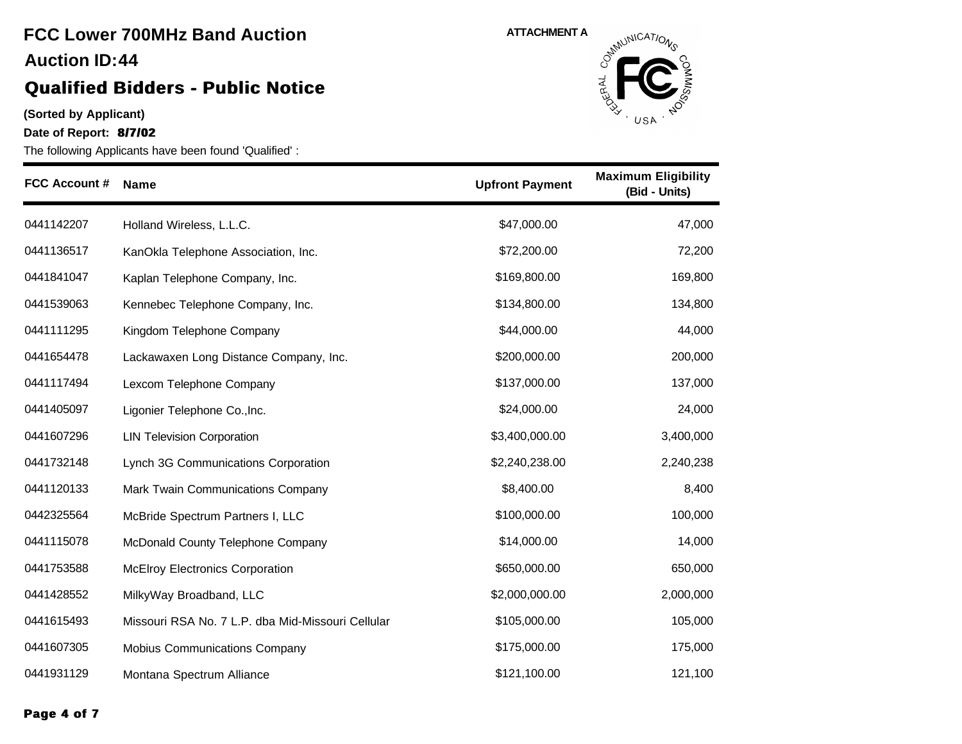#### **(Sorted by Applicant)**

**Date of Report: 8/7/02**

The following Applicants have been found 'Qualified' :



| <b>FCC Account #</b> | <b>Name</b>                                       | <b>Upfront Payment</b> | <b>Maximum Eligibility</b><br>(Bid - Units) |
|----------------------|---------------------------------------------------|------------------------|---------------------------------------------|
| 0441142207           | Holland Wireless, L.L.C.                          | \$47,000.00            | 47,000                                      |
| 0441136517           | KanOkla Telephone Association, Inc.               | \$72,200.00            | 72,200                                      |
| 0441841047           | Kaplan Telephone Company, Inc.                    | \$169,800.00           | 169,800                                     |
| 0441539063           | Kennebec Telephone Company, Inc.                  | \$134,800.00           | 134,800                                     |
| 0441111295           | Kingdom Telephone Company                         | \$44,000.00            | 44,000                                      |
| 0441654478           | Lackawaxen Long Distance Company, Inc.            | \$200,000.00           | 200,000                                     |
| 0441117494           | Lexcom Telephone Company                          | \$137,000.00           | 137,000                                     |
| 0441405097           | Ligonier Telephone Co., Inc.                      | \$24,000.00            | 24,000                                      |
| 0441607296           | <b>LIN Television Corporation</b>                 | \$3,400,000.00         | 3,400,000                                   |
| 0441732148           | Lynch 3G Communications Corporation               | \$2,240,238.00         | 2,240,238                                   |
| 0441120133           | Mark Twain Communications Company                 | \$8,400.00             | 8,400                                       |
| 0442325564           | McBride Spectrum Partners I, LLC                  | \$100,000.00           | 100,000                                     |
| 0441115078           | McDonald County Telephone Company                 | \$14,000.00            | 14,000                                      |
| 0441753588           | <b>McElroy Electronics Corporation</b>            | \$650,000.00           | 650,000                                     |
| 0441428552           | MilkyWay Broadband, LLC                           | \$2,000,000.00         | 2,000,000                                   |
| 0441615493           | Missouri RSA No. 7 L.P. dba Mid-Missouri Cellular | \$105,000.00           | 105,000                                     |
| 0441607305           | Mobius Communications Company                     | \$175,000.00           | 175,000                                     |
| 0441931129           | Montana Spectrum Alliance                         | \$121,100.00           | 121,100                                     |

**Page 4 of 7**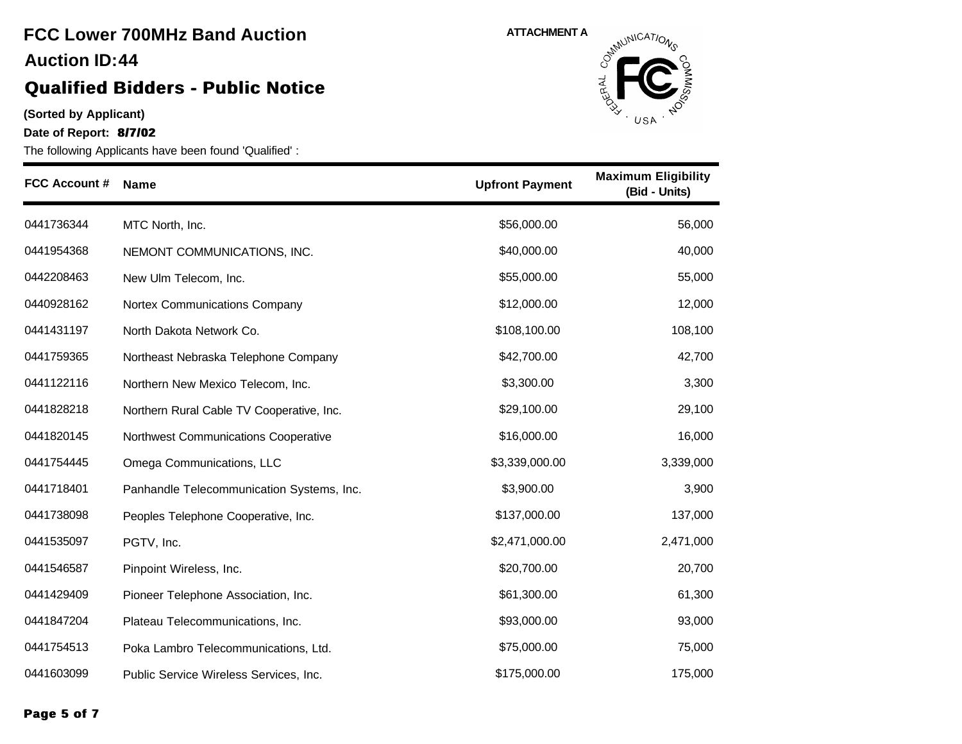#### **(Sorted by Applicant)**

**Date of Report: 8/7/02**



| <b>FCC Account #</b> | <b>Name</b>                               | <b>Upfront Payment</b> | <b>Maximum Eligibility</b><br>(Bid - Units) |
|----------------------|-------------------------------------------|------------------------|---------------------------------------------|
| 0441736344           | MTC North, Inc.                           | \$56,000.00            | 56,000                                      |
| 0441954368           | NEMONT COMMUNICATIONS, INC.               | \$40,000.00            | 40,000                                      |
| 0442208463           | New Ulm Telecom, Inc.                     | \$55,000.00            | 55,000                                      |
| 0440928162           | Nortex Communications Company             | \$12,000.00            | 12,000                                      |
| 0441431197           | North Dakota Network Co.                  | \$108,100.00           | 108,100                                     |
| 0441759365           | Northeast Nebraska Telephone Company      | \$42,700.00            | 42,700                                      |
| 0441122116           | Northern New Mexico Telecom, Inc.         | \$3,300.00             | 3,300                                       |
| 0441828218           | Northern Rural Cable TV Cooperative, Inc. | \$29,100.00            | 29,100                                      |
| 0441820145           | Northwest Communications Cooperative      | \$16,000.00            | 16,000                                      |
| 0441754445           | Omega Communications, LLC                 | \$3,339,000.00         | 3,339,000                                   |
| 0441718401           | Panhandle Telecommunication Systems, Inc. | \$3,900.00             | 3,900                                       |
| 0441738098           | Peoples Telephone Cooperative, Inc.       | \$137,000.00           | 137,000                                     |
| 0441535097           | PGTV, Inc.                                | \$2,471,000.00         | 2,471,000                                   |
| 0441546587           | Pinpoint Wireless, Inc.                   | \$20,700.00            | 20,700                                      |
| 0441429409           | Pioneer Telephone Association, Inc.       | \$61,300.00            | 61,300                                      |
| 0441847204           | Plateau Telecommunications, Inc.          | \$93,000.00            | 93,000                                      |
| 0441754513           | Poka Lambro Telecommunications, Ltd.      | \$75,000.00            | 75,000                                      |
| 0441603099           | Public Service Wireless Services, Inc.    | \$175,000.00           | 175,000                                     |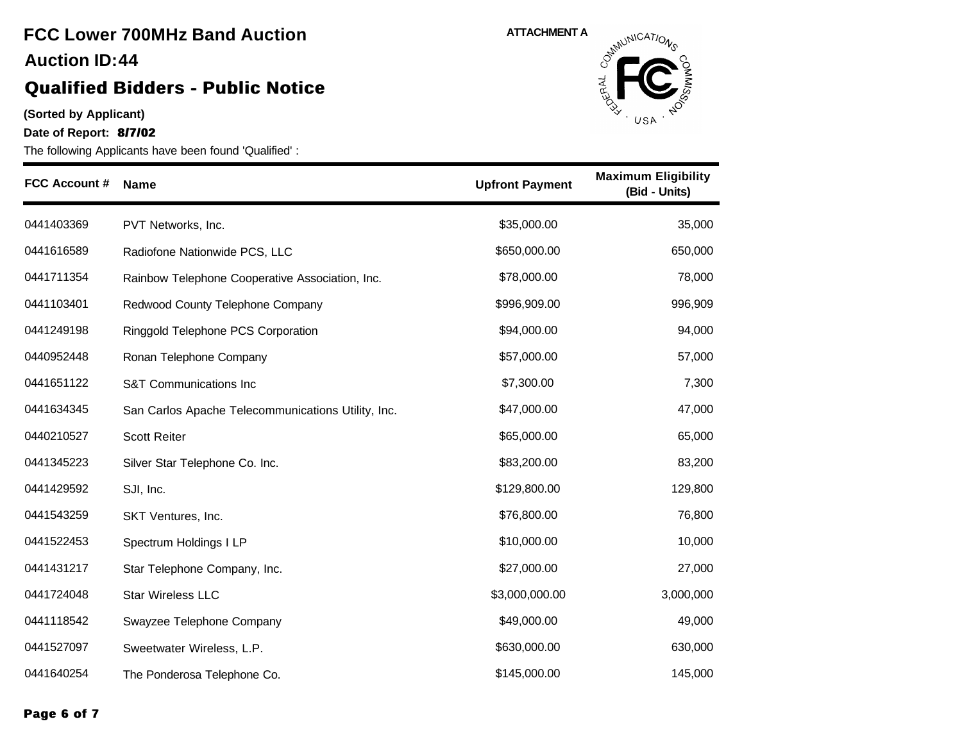#### **(Sorted by Applicant)**

**Date of Report: 8/7/02**



| <b>FCC Account #</b> | <b>Name</b>                                        | <b>Upfront Payment</b> | <b>Maximum Eligibility</b><br>(Bid - Units) |
|----------------------|----------------------------------------------------|------------------------|---------------------------------------------|
| 0441403369           | PVT Networks, Inc.                                 | \$35,000.00            | 35,000                                      |
| 0441616589           | Radiofone Nationwide PCS, LLC                      | \$650,000.00           | 650,000                                     |
| 0441711354           | Rainbow Telephone Cooperative Association, Inc.    | \$78,000.00            | 78,000                                      |
| 0441103401           | Redwood County Telephone Company                   | \$996,909.00           | 996,909                                     |
| 0441249198           | Ringgold Telephone PCS Corporation                 | \$94,000.00            | 94,000                                      |
| 0440952448           | Ronan Telephone Company                            | \$57,000.00            | 57,000                                      |
| 0441651122           | <b>S&amp;T Communications Inc</b>                  | \$7,300.00             | 7,300                                       |
| 0441634345           | San Carlos Apache Telecommunications Utility, Inc. | \$47,000.00            | 47,000                                      |
| 0440210527           | <b>Scott Reiter</b>                                | \$65,000.00            | 65,000                                      |
| 0441345223           | Silver Star Telephone Co. Inc.                     | \$83,200.00            | 83,200                                      |
| 0441429592           | SJI, Inc.                                          | \$129,800.00           | 129,800                                     |
| 0441543259           | SKT Ventures, Inc.                                 | \$76,800.00            | 76,800                                      |
| 0441522453           | Spectrum Holdings I LP                             | \$10,000.00            | 10,000                                      |
| 0441431217           | Star Telephone Company, Inc.                       | \$27,000.00            | 27,000                                      |
| 0441724048           | <b>Star Wireless LLC</b>                           | \$3,000,000.00         | 3,000,000                                   |
| 0441118542           | Swayzee Telephone Company                          | \$49,000.00            | 49,000                                      |
| 0441527097           | Sweetwater Wireless, L.P.                          | \$630,000.00           | 630,000                                     |
| 0441640254           | The Ponderosa Telephone Co.                        | \$145,000.00           | 145,000                                     |